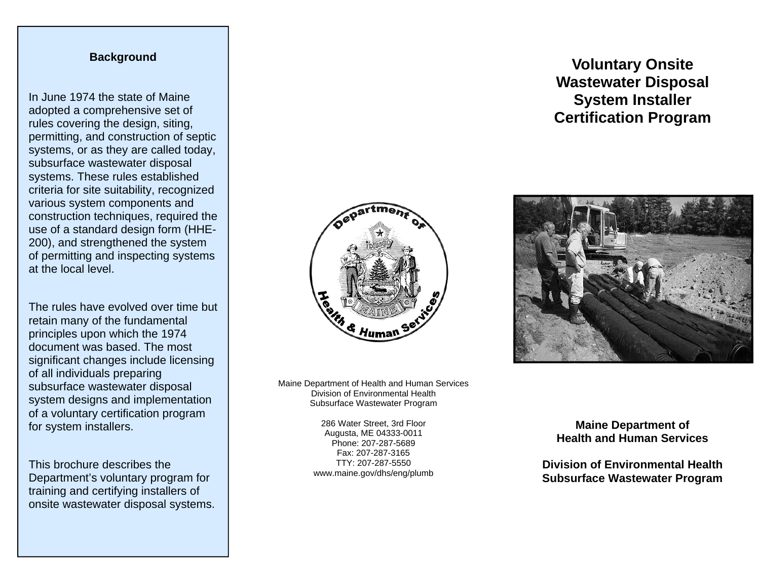# **Background**

In June 1974 the state of Maine adopted a comprehensive set of rules covering the design, siting, permitting, and construction of septic systems, or as they are called today, subsurface wastewater disposal systems. These rules established criteria for site suitability, recognized various system components and construction techniques, required the use of a standard design form (HHE-200), and strengthened the system of permitting and inspecting systems at the local level.

The rules have evolved over time but retain many of the fundamental principles upon which the 1974 document was based. The most significant changes include licensing of all individuals preparing subsurface wastewater disposal system designs and implementation of a voluntary certification program for system installers.

This brochure describes the Department's voluntary program for training and certifying installers of onsite wastewater disposal systems.



Maine Department of Health and Human Services Division of Environmental Health Subsurface Wastewater Program

> 286 Water Street, 3rd Floor Augusta, ME 04333-0011 Phone: 207-287-5689 Fax: 207-287-3165 TTY: 207-287-5550 www.maine.gov/dhs/eng/plumb

# **Voluntary Onsite Wastewater Disposal System Installer Certification Program**



**Maine Department of Health and Human Services** 

**Division of Environmental Health Subsurface Wastewater Program**